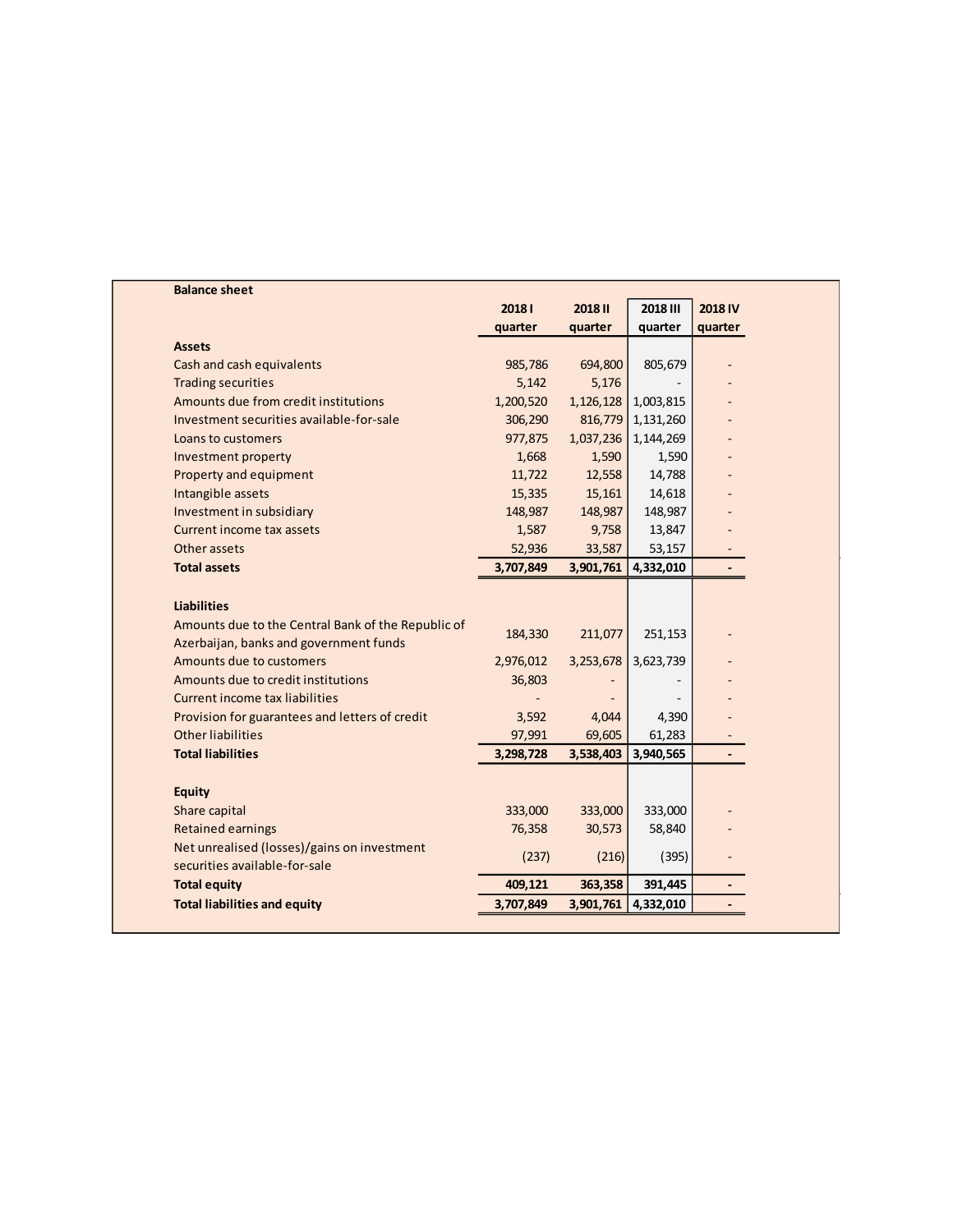| <b>Balance sheet</b>                               |           |                |                 |                |
|----------------------------------------------------|-----------|----------------|-----------------|----------------|
|                                                    | 20181     | <b>2018 II</b> | <b>2018 III</b> | 2018 IV        |
|                                                    | quarter   | quarter        | quarter         | quarter        |
| <b>Assets</b>                                      |           |                |                 |                |
| Cash and cash equivalents                          | 985,786   | 694,800        | 805,679         |                |
| <b>Trading securities</b>                          | 5,142     | 5,176          |                 |                |
| Amounts due from credit institutions               | 1,200,520 | 1,126,128      | 1,003,815       |                |
| Investment securities available-for-sale           | 306,290   | 816,779        | 1,131,260       |                |
| Loans to customers                                 | 977,875   | 1,037,236      | 1,144,269       |                |
| Investment property                                | 1,668     | 1,590          | 1,590           |                |
| Property and equipment                             | 11,722    | 12,558         | 14,788          |                |
| Intangible assets                                  | 15,335    | 15,161         | 14,618          |                |
| Investment in subsidiary                           | 148,987   | 148,987        | 148,987         |                |
| Current income tax assets                          | 1,587     | 9,758          | 13,847          |                |
| Other assets                                       | 52,936    | 33,587         | 53,157          |                |
| <b>Total assets</b>                                | 3,707,849 | 3,901,761      | 4,332,010       | $\blacksquare$ |
|                                                    |           |                |                 |                |
| <b>Liabilities</b>                                 |           |                |                 |                |
| Amounts due to the Central Bank of the Republic of |           |                |                 |                |
| Azerbaijan, banks and government funds             | 184,330   | 211,077        | 251,153         |                |
| Amounts due to customers                           | 2,976,012 | 3,253,678      | 3,623,739       |                |
| Amounts due to credit institutions                 | 36,803    |                |                 |                |
| <b>Current income tax liabilities</b>              |           |                |                 |                |
| Provision for guarantees and letters of credit     | 3,592     | 4,044          | 4,390           |                |
| <b>Other liabilities</b>                           | 97,991    | 69,605         | 61,283          |                |
| <b>Total liabilities</b>                           | 3,298,728 | 3,538,403      | 3,940,565       | $\blacksquare$ |
|                                                    |           |                |                 |                |
| <b>Equity</b>                                      |           |                |                 |                |
| Share capital                                      | 333,000   | 333,000        | 333,000         |                |
| <b>Retained earnings</b>                           | 76,358    | 30,573         | 58,840          |                |
| Net unrealised (losses)/gains on investment        |           |                |                 |                |
| securities available-for-sale                      | (237)     | (216)          | (395)           |                |
| <b>Total equity</b>                                | 409,121   | 363,358        | 391,445         |                |
|                                                    |           |                |                 |                |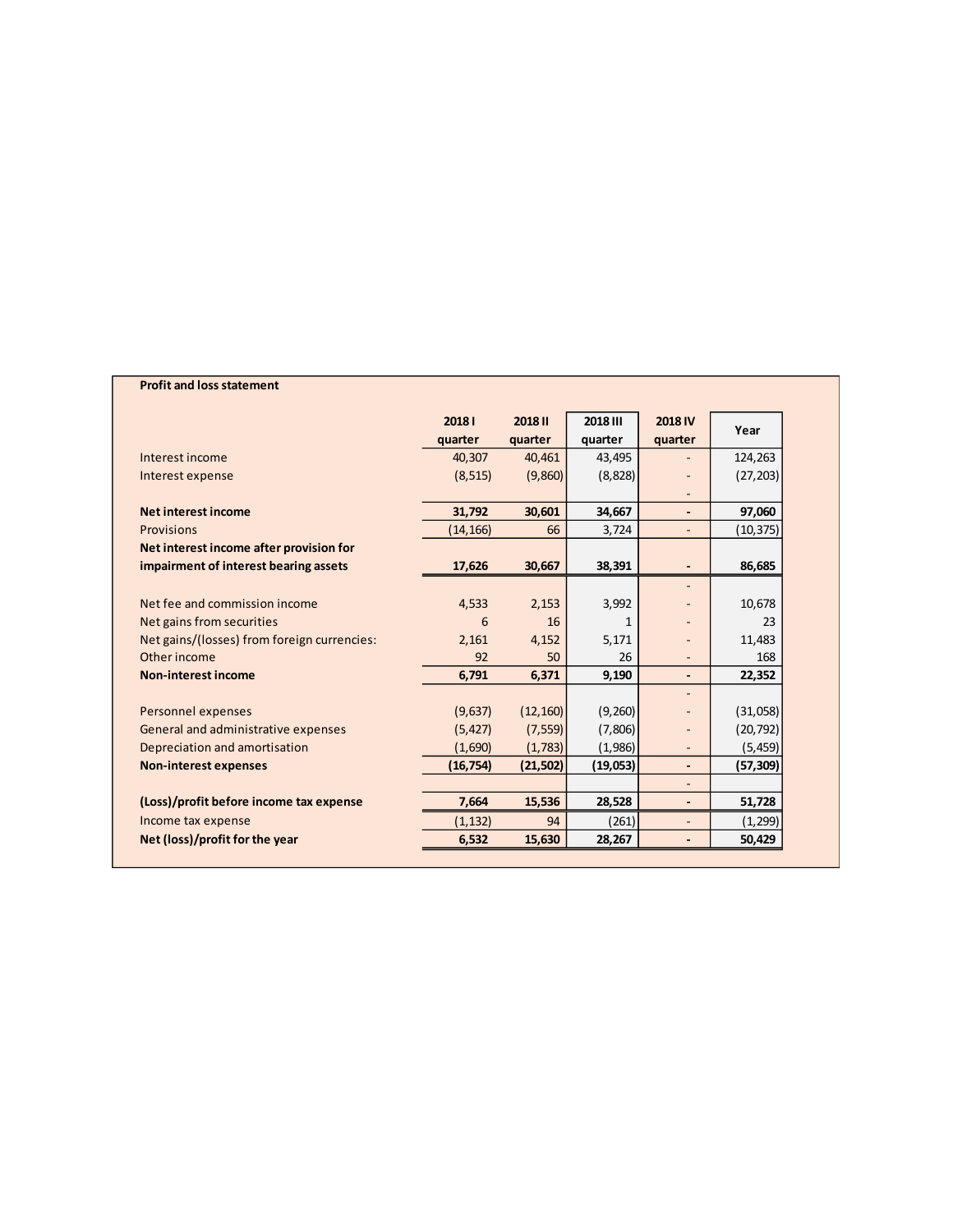## **Profit and loss statement**

|                                             | 20181     | <b>2018II</b> | 2018 III | <b>2018 IV</b>               |           |
|---------------------------------------------|-----------|---------------|----------|------------------------------|-----------|
|                                             | quarter   | quarter       | quarter  | quarter                      | Year      |
| Interest income                             | 40,307    | 40,461        | 43,495   |                              | 124,263   |
| Interest expense                            | (8, 515)  | (9,860)       | (8,828)  |                              | (27, 203) |
|                                             |           |               |          |                              |           |
| <b>Net interest income</b>                  | 31,792    | 30,601        | 34,667   | $\blacksquare$               | 97,060    |
| Provisions                                  | (14, 166) | 66            | 3,724    | $\overline{\phantom{a}}$     | (10, 375) |
| Net interest income after provision for     |           |               |          |                              |           |
| impairment of interest bearing assets       | 17,626    | 30,667        | 38,391   | $\overline{\phantom{a}}$     | 86,685    |
|                                             |           |               |          |                              |           |
| Net fee and commission income               | 4,533     | 2,153         | 3,992    |                              | 10,678    |
| Net gains from securities                   | 6         | 16            | 1        |                              | 23        |
| Net gains/(losses) from foreign currencies: | 2,161     | 4,152         | 5,171    |                              | 11,483    |
| Other income                                | 92        | 50            | 26       |                              | 168       |
| <b>Non-interest income</b>                  | 6,791     | 6,371         | 9,190    | $\blacksquare$               | 22,352    |
|                                             |           |               |          |                              |           |
| Personnel expenses                          | (9,637)   | (12, 160)     | (9,260)  |                              | (31,058)  |
| General and administrative expenses         | (5, 427)  | (7, 559)      | (7,806)  |                              | (20, 792) |
| Depreciation and amortisation               | (1,690)   | (1,783)       | (1,986)  |                              | (5, 459)  |
| <b>Non-interest expenses</b>                | (16, 754) | (21, 502)     | (19,053) | $\overline{\phantom{a}}$     | (57, 309) |
|                                             |           |               |          |                              |           |
| (Loss)/profit before income tax expense     | 7,664     | 15,536        | 28,528   | $\qquad \qquad \blacksquare$ | 51,728    |
| Income tax expense                          | (1, 132)  | 94            | (261)    | $\overline{\phantom{a}}$     | (1, 299)  |
| Net (loss)/profit for the year              | 6,532     | 15,630        | 28,267   | $\overline{\phantom{a}}$     | 50,429    |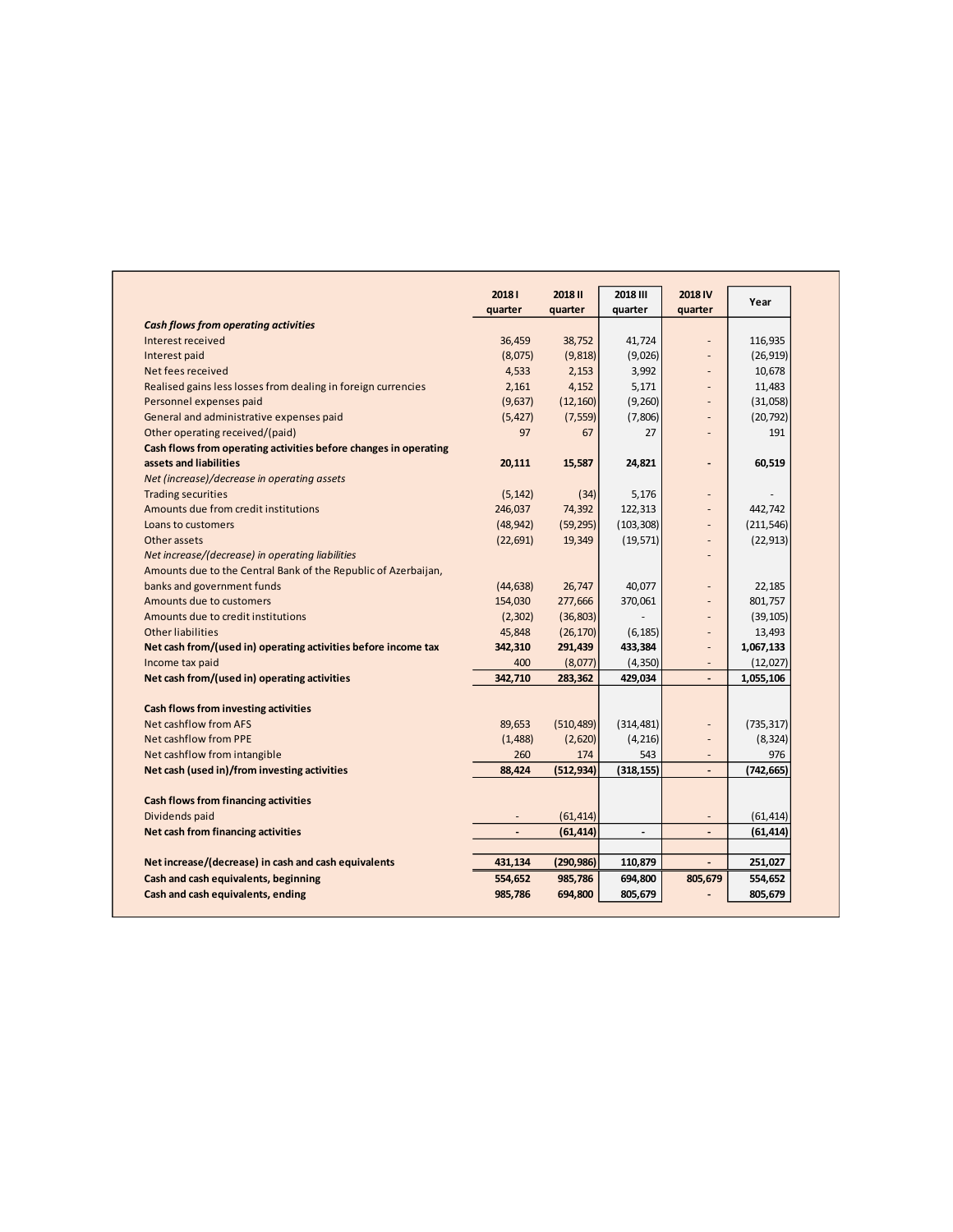|                                                                  | 20181     | <b>2018 II</b> | <b>2018 III</b>          | 2018 IV                  | Year       |
|------------------------------------------------------------------|-----------|----------------|--------------------------|--------------------------|------------|
|                                                                  | quarter   | quarter        | quarter                  | quarter                  |            |
| <b>Cash flows from operating activities</b>                      |           |                |                          |                          |            |
| Interest received                                                | 36,459    | 38,752         | 41,724                   | $\overline{a}$           | 116,935    |
| Interest paid                                                    | (8,075)   | (9, 818)       | (9,026)                  |                          | (26, 919)  |
| Net fees received                                                | 4,533     | 2,153          | 3,992                    |                          | 10,678     |
| Realised gains less losses from dealing in foreign currencies    | 2,161     | 4,152          | 5,171                    |                          | 11,483     |
| Personnel expenses paid                                          | (9,637)   | (12, 160)      | (9,260)                  |                          | (31,058)   |
| General and administrative expenses paid                         | (5, 427)  | (7, 559)       | (7,806)                  |                          | (20, 792)  |
| Other operating received/(paid)                                  | 97        | 67             | 27                       |                          | 191        |
| Cash flows from operating activities before changes in operating |           |                |                          |                          |            |
| assets and liabilities                                           | 20,111    | 15,587         | 24,821                   |                          | 60,519     |
| Net (increase)/decrease in operating assets                      |           |                |                          |                          |            |
| <b>Trading securities</b>                                        | (5, 142)  | (34)           | 5,176                    |                          |            |
| Amounts due from credit institutions                             | 246,037   | 74,392         | 122,313                  |                          | 442,742    |
| Loans to customers                                               | (48, 942) | (59, 295)      | (103, 308)               |                          | (211, 546) |
| Other assets                                                     | (22, 691) | 19,349         | (19, 571)                |                          | (22, 913)  |
| Net increase/(decrease) in operating liabilities                 |           |                |                          |                          |            |
| Amounts due to the Central Bank of the Republic of Azerbaijan,   |           |                |                          |                          |            |
| banks and government funds                                       | (44, 638) | 26,747         | 40,077                   |                          | 22,185     |
| Amounts due to customers                                         | 154,030   | 277,666        | 370,061                  |                          | 801,757    |
| Amounts due to credit institutions                               | (2,302)   | (36, 803)      |                          |                          | (39, 105)  |
| <b>Other liabilities</b>                                         | 45,848    | (26, 170)      | (6, 185)                 |                          | 13,493     |
| Net cash from/(used in) operating activities before income tax   | 342,310   | 291,439        | 433,384                  | $\overline{\phantom{a}}$ | 1,067,133  |
| Income tax paid                                                  | 400       | (8,077)        | (4, 350)                 |                          | (12,027)   |
| Net cash from/(used in) operating activities                     | 342,710   | 283,362        | 429,034                  | $\overline{\phantom{a}}$ | 1,055,106  |
|                                                                  |           |                |                          |                          |            |
| Cash flows from investing activities                             |           |                |                          |                          |            |
| Net cashflow from AFS                                            | 89,653    | (510, 489)     | (314, 481)               |                          | (735, 317) |
| <b>Net cashflow from PPE</b>                                     | (1,488)   | (2,620)        | (4, 216)                 |                          | (8, 324)   |
| Net cashflow from intangible                                     | 260       | 174            | 543                      |                          | 976        |
| Net cash (used in)/from investing activities                     | 88,424    | (512, 934)     | (318, 155)               | $\overline{\phantom{a}}$ | (742, 665) |
| <b>Cash flows from financing activities</b>                      |           |                |                          |                          |            |
| Dividends paid                                                   |           | (61, 414)      |                          |                          | (61, 414)  |
| Net cash from financing activities                               |           | (61, 414)      | $\overline{\phantom{a}}$ |                          | (61, 414)  |
|                                                                  |           |                |                          |                          |            |
| Net increase/(decrease) in cash and cash equivalents             | 431,134   | (290, 986)     | 110,879                  |                          | 251,027    |
| Cash and cash equivalents, beginning                             | 554,652   | 985,786        | 694,800                  | 805,679                  | 554,652    |
| Cash and cash equivalents, ending                                | 985,786   | 694,800        | 805,679                  |                          | 805,679    |